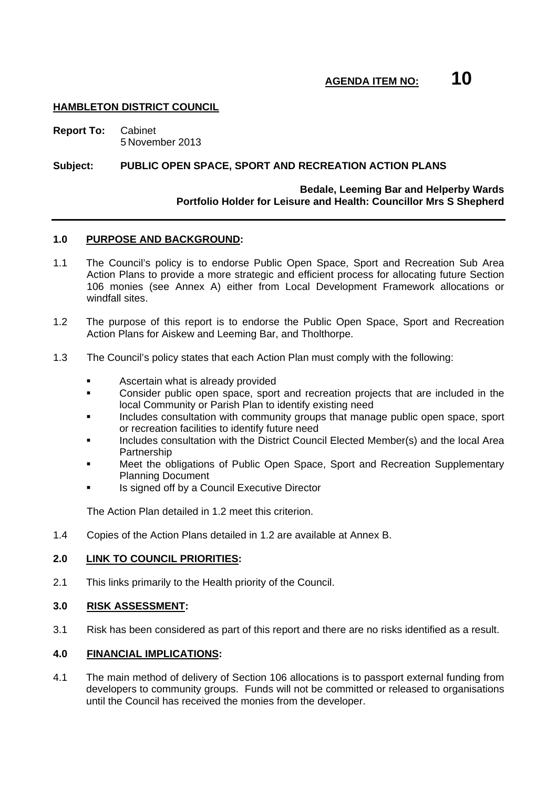# **HAMBLETON DISTRICT COUNCIL**

**Report To:** Cabinet 5 November 2013

### **Subject: PUBLIC OPEN SPACE, SPORT AND RECREATION ACTION PLANS**

# **Bedale, Leeming Bar and Helperby Wards Portfolio Holder for Leisure and Health: Councillor Mrs S Shepherd**

### **1.0 PURPOSE AND BACKGROUND:**

- 1.1 The Council's policy is to endorse Public Open Space, Sport and Recreation Sub Area Action Plans to provide a more strategic and efficient process for allocating future Section 106 monies (see Annex A) either from Local Development Framework allocations or windfall sites.
- 1.2 The purpose of this report is to endorse the Public Open Space, Sport and Recreation Action Plans for Aiskew and Leeming Bar, and Tholthorpe.
- 1.3 The Council's policy states that each Action Plan must comply with the following:
	- Ascertain what is already provided
	- Consider public open space, sport and recreation projects that are included in the local Community or Parish Plan to identify existing need
	- Includes consultation with community groups that manage public open space, sport or recreation facilities to identify future need
	- Includes consultation with the District Council Elected Member(s) and the local Area **Partnership**
	- Meet the obligations of Public Open Space, Sport and Recreation Supplementary Planning Document
	- Is signed off by a Council Executive Director

The Action Plan detailed in 1.2 meet this criterion.

1.4 Copies of the Action Plans detailed in 1.2 are available at Annex B.

### **2.0 LINK TO COUNCIL PRIORITIES:**

2.1 This links primarily to the Health priority of the Council.

### **3.0 RISK ASSESSMENT:**

3.1 Risk has been considered as part of this report and there are no risks identified as a result.

### **4.0 FINANCIAL IMPLICATIONS:**

4.1 The main method of delivery of Section 106 allocations is to passport external funding from developers to community groups. Funds will not be committed or released to organisations until the Council has received the monies from the developer.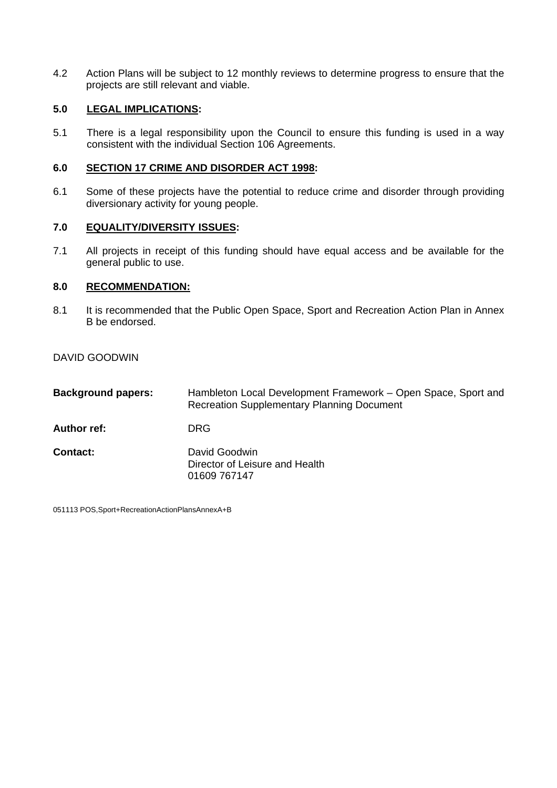4.2 Action Plans will be subject to 12 monthly reviews to determine progress to ensure that the projects are still relevant and viable.

# **5.0 LEGAL IMPLICATIONS:**

5.1 There is a legal responsibility upon the Council to ensure this funding is used in a way consistent with the individual Section 106 Agreements.

# **6.0 SECTION 17 CRIME AND DISORDER ACT 1998:**

6.1 Some of these projects have the potential to reduce crime and disorder through providing diversionary activity for young people.

# **7.0 EQUALITY/DIVERSITY ISSUES:**

7.1 All projects in receipt of this funding should have equal access and be available for the general public to use.

# **8.0 RECOMMENDATION:**

8.1 It is recommended that the Public Open Space, Sport and Recreation Action Plan in Annex B be endorsed.

DAVID GOODWIN

| <b>Background papers:</b> | Hambleton Local Development Framework – Open Space, Sport and<br><b>Recreation Supplementary Planning Document</b> |
|---------------------------|--------------------------------------------------------------------------------------------------------------------|
| Author ref:               | <b>DRG</b>                                                                                                         |
| Contact:                  | David Goodwin<br>Director of Leisure and Health<br>01609 767147                                                    |

051113 POS,Sport+RecreationActionPlansAnnexA+B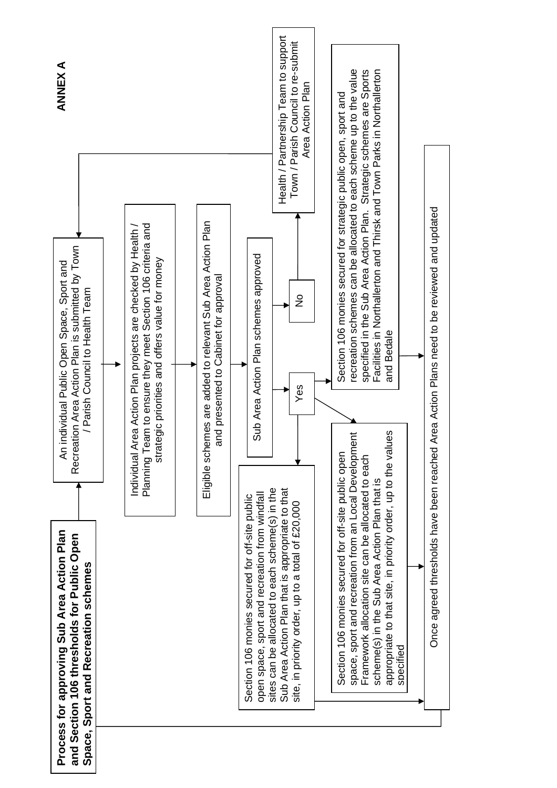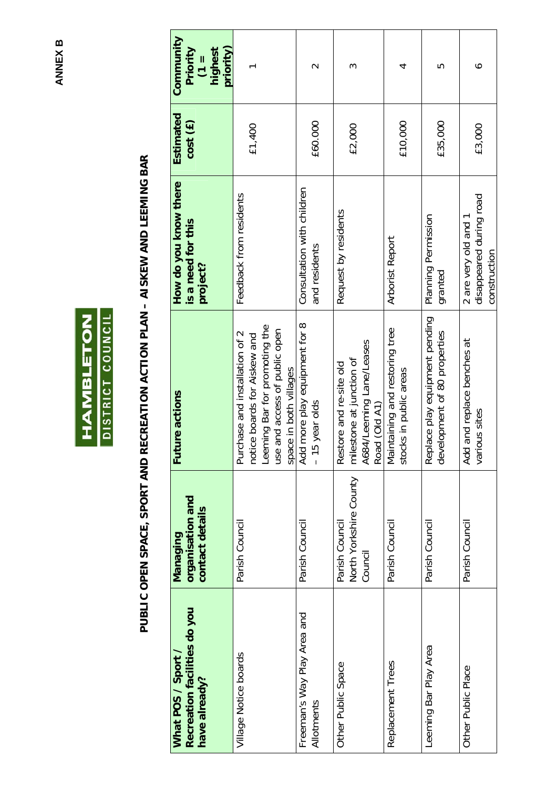**ANNEX B ANNEX B** 



# PUBLIC OPEN SPACE, SPORT AND RECREATION ACTION PLAN - AISKEW AND LEEMING BAR **PUBLIC OPEN SPACE, SPORT AND RECREATION ACTION PLAN – AISKEW AND LEEMING BAR**

| Recreation facilities do you<br>What POS / Sport /<br>have already? | organisation and<br>contact details<br>Managing     | <b>Future actions</b>                                                                                                                                          | How do you know there<br>is a need for this<br>project?         | Estimated<br>cost(E) | Community<br>priority)<br>Priority<br>highest<br>$\frac{1}{2}$ |
|---------------------------------------------------------------------|-----------------------------------------------------|----------------------------------------------------------------------------------------------------------------------------------------------------------------|-----------------------------------------------------------------|----------------------|----------------------------------------------------------------|
| Village Notice boards                                               | Parish Council                                      | Leeming Bar for promoting the<br>and access of public open<br>Purchase and installation of 2<br>notice boards for Aiskew and<br>space in both villages<br>use: | Feedback from residents                                         | £1,400               |                                                                |
| Freeman's Way Play Area and<br>Allotments                           | Parish Council                                      | more play equipment for 8<br>year olds<br>$-15$<br>Add                                                                                                         | Consultation with children<br>and residents                     | £60.000              | $\scriptstyle\sim$                                             |
| Other Public Space                                                  | North Yorkshire County<br>Parish Council<br>Council | A684/Leeming Lane/Leases<br>milestone at junction of<br>Restore and re-site old<br>Road (Old A1)                                                               | Request by residents                                            | £2,000               | ო                                                              |
| Replacement Trees                                                   | Parish Council                                      | Maintaining and restoring tree<br>ks in public areas<br>stock                                                                                                  | Arborist Report                                                 | £10,000              | 4                                                              |
| Leeming Bar Play Area                                               | Parish Council                                      | Replace play equipment pending<br>development of 80 properties                                                                                                 | Planning Permission<br>granted                                  | £35,000              | 5                                                              |
| Other Public Place                                                  | Parish Council                                      | and replace benches at<br>various sites<br>Add                                                                                                                 | disappeared during road<br>2 are very old and 1<br>construction | £3,000               | ∘                                                              |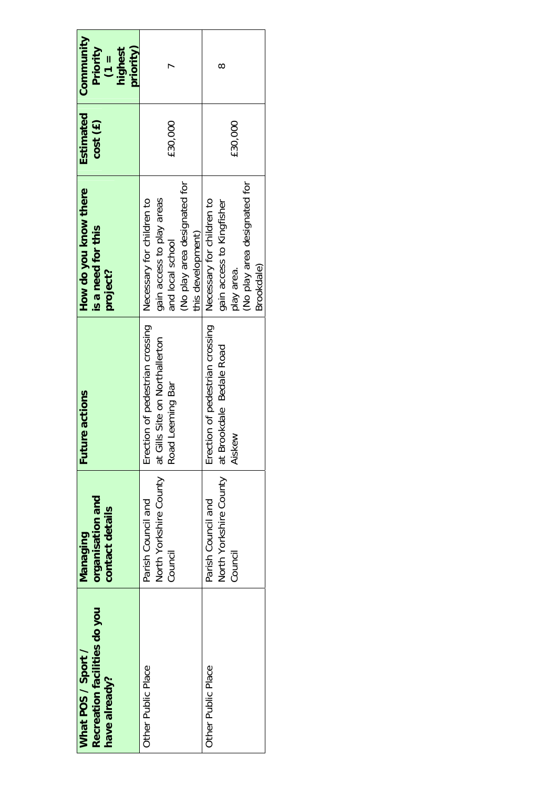| Recreation facilities do you<br>What POS / Sport /<br>have already? | organisation and<br>contact details<br><b>Managing</b>  | <b>Future actions</b>                                                                 | How do you know there<br>is a need for this<br>project?                                                                        | Estimated<br>cost (£) | Community<br>Priority<br>priority)<br>highest<br>$\boxed{\phantom{1}}$ |
|---------------------------------------------------------------------|---------------------------------------------------------|---------------------------------------------------------------------------------------|--------------------------------------------------------------------------------------------------------------------------------|-----------------------|------------------------------------------------------------------------|
| Other Public Place                                                  | North Yorkshire County<br>Parish Council and<br>Council | Erection of pedestrian crossing<br>at Gills Site on Northallerton<br>Road Leeming Bar | No play area designated for<br>gain access to play areas<br>Necessary for children to<br>this development)<br>and local school | £30,000               |                                                                        |
| Other Public Place                                                  | North Yorkshire County<br>Parish Council and<br>Council | Erection of pedestrian crossing<br>at Brookdale Bedale Road<br>Aiskew                 | No play area designated for<br>Necessary for children to<br>gain access to Kingfisher<br>Brookdale)<br>play area.              | £30,000               | ∞                                                                      |